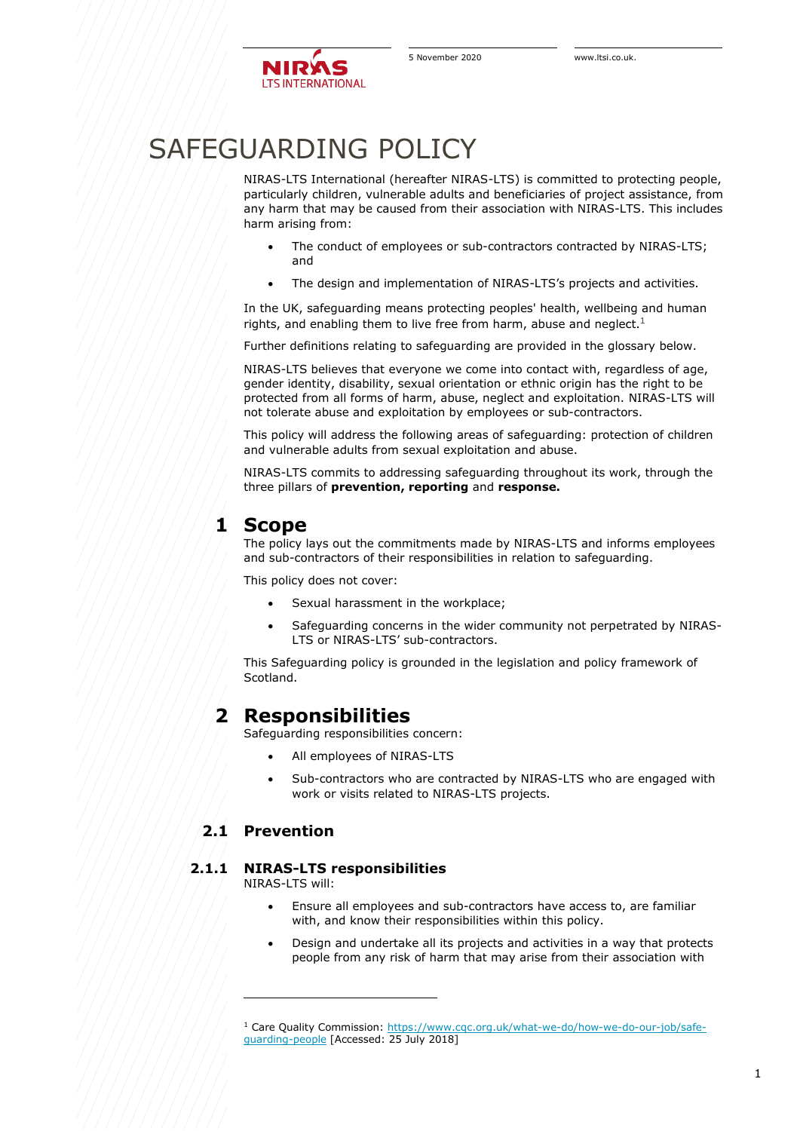

# SAFEGUARDING POLICY

NIRAS-LTS International (hereafter NIRAS-LTS) is committed to protecting people, particularly children, vulnerable adults and beneficiaries of project assistance, from any harm that may be caused from their association with NIRAS-LTS. This includes harm arising from:

- The conduct of employees or sub-contractors contracted by NIRAS-LTS; and
- The design and implementation of NIRAS-LTS's projects and activities.

In the UK, safeguarding means protecting peoples' health, wellbeing and human rights, and enabling them to live free from harm, abuse and neglect.<sup>1</sup>

Further definitions relating to safeguarding are provided in the glossary below.

NIRAS-LTS believes that everyone we come into contact with, regardless of age, gender identity, disability, sexual orientation or ethnic origin has the right to be protected from all forms of harm, abuse, neglect and exploitation. NIRAS-LTS will not tolerate abuse and exploitation by employees or sub-contractors.

This policy will address the following areas of safeguarding: protection of children and vulnerable adults from sexual exploitation and abuse.

NIRAS-LTS commits to addressing safeguarding throughout its work, through the three pillars of **prevention, reporting** and **response.**

# **1 Scope**

The policy lays out the commitments made by NIRAS-LTS and informs employees and sub-contractors of their responsibilities in relation to safeguarding.

This policy does not cover:

- Sexual harassment in the workplace;
- Safeguarding concerns in the wider community not perpetrated by NIRAS-LTS or NIRAS-LTS' sub-contractors.

This Safeguarding policy is grounded in the legislation and policy framework of Scotland.

# **2 Responsibilities**

Safeguarding responsibilities concern:

- All employees of NIRAS-LTS
- Sub-contractors who are contracted by NIRAS-LTS who are engaged with work or visits related to NIRAS-LTS projects.

# **2.1 Prevention**

### **2.1.1 NIRAS-LTS responsibilities**

NIRAS-I TS will:

- Ensure all employees and sub-contractors have access to, are familiar with, and know their responsibilities within this policy.
- Design and undertake all its projects and activities in a way that protects people from any risk of harm that may arise from their association with

<sup>1</sup> Care Quality Commission: [https://www.cqc.org.uk/what-we-do/how-we-do-our-job/safe](https://www.cqc.org.uk/what-we-do/how-we-do-our-job/safeguarding-people)[guarding-people](https://www.cqc.org.uk/what-we-do/how-we-do-our-job/safeguarding-people) [Accessed: 25 July 2018]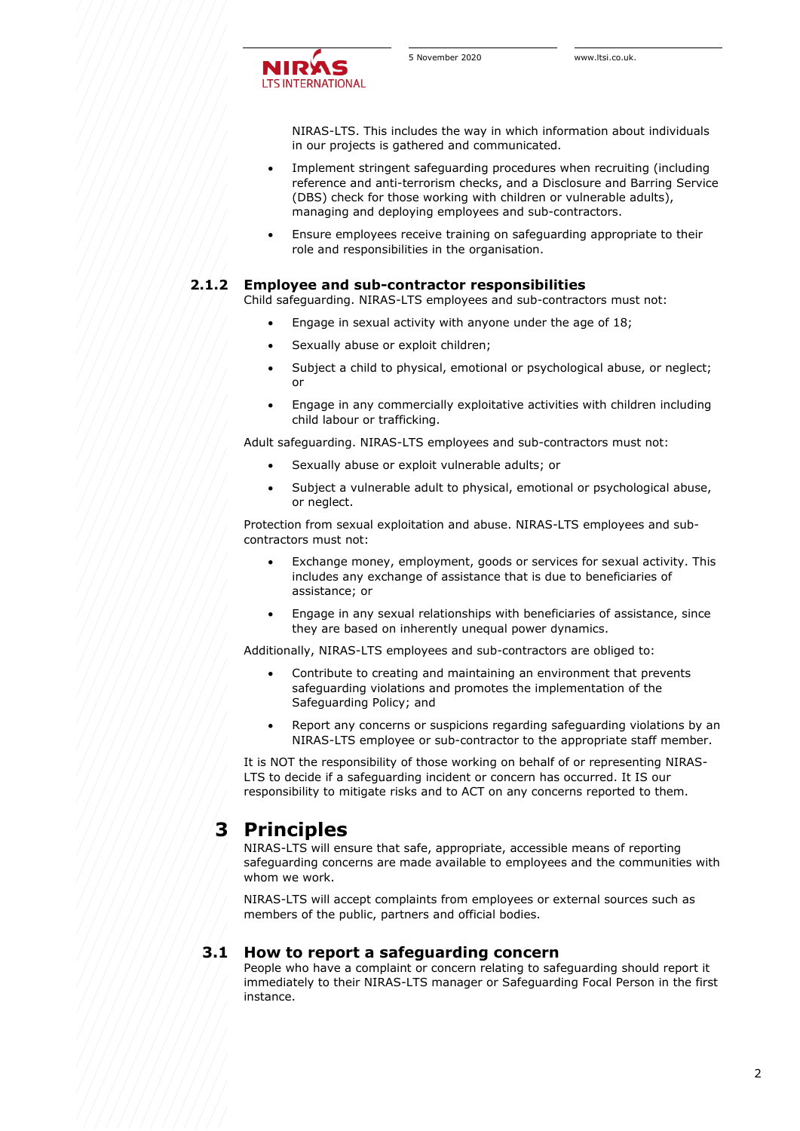

NIRAS-LTS. This includes the way in which information about individuals in our projects is gathered and communicated.

- Implement stringent safeguarding procedures when recruiting (including reference and anti-terrorism checks, and a Disclosure and Barring Service (DBS) check for those working with children or vulnerable adults), managing and deploying employees and sub-contractors.
- Ensure employees receive training on safeguarding appropriate to their role and responsibilities in the organisation.

### **2.1.2 Employee and sub-contractor responsibilities**

Child safeguarding. NIRAS-LTS employees and sub-contractors must not:

- Engage in sexual activity with anyone under the age of 18;
- Sexually abuse or exploit children;
- Subject a child to physical, emotional or psychological abuse, or neglect; or
- Engage in any commercially exploitative activities with children including child labour or trafficking.

Adult safeguarding. NIRAS-LTS employees and sub-contractors must not:

- Sexually abuse or exploit vulnerable adults; or
- Subject a vulnerable adult to physical, emotional or psychological abuse, or neglect.

Protection from sexual exploitation and abuse. NIRAS-LTS employees and subcontractors must not:

- Exchange money, employment, goods or services for sexual activity. This includes any exchange of assistance that is due to beneficiaries of assistance; or
- Engage in any sexual relationships with beneficiaries of assistance, since they are based on inherently unequal power dynamics.

Additionally, NIRAS-LTS employees and sub-contractors are obliged to:

- Contribute to creating and maintaining an environment that prevents safeguarding violations and promotes the implementation of the Safeguarding Policy; and
- Report any concerns or suspicions regarding safeguarding violations by an NIRAS-LTS employee or sub-contractor to the appropriate staff member.

It is NOT the responsibility of those working on behalf of or representing NIRAS-LTS to decide if a safeguarding incident or concern has occurred. It IS our responsibility to mitigate risks and to ACT on any concerns reported to them.

# **3 Principles**

NIRAS-LTS will ensure that safe, appropriate, accessible means of reporting safeguarding concerns are made available to employees and the communities with whom we work.

NIRAS-LTS will accept complaints from employees or external sources such as members of the public, partners and official bodies.

### **3.1 How to report a safeguarding concern**

People who have a complaint or concern relating to safeguarding should report it immediately to their NIRAS-LTS manager or Safeguarding Focal Person in the first instance.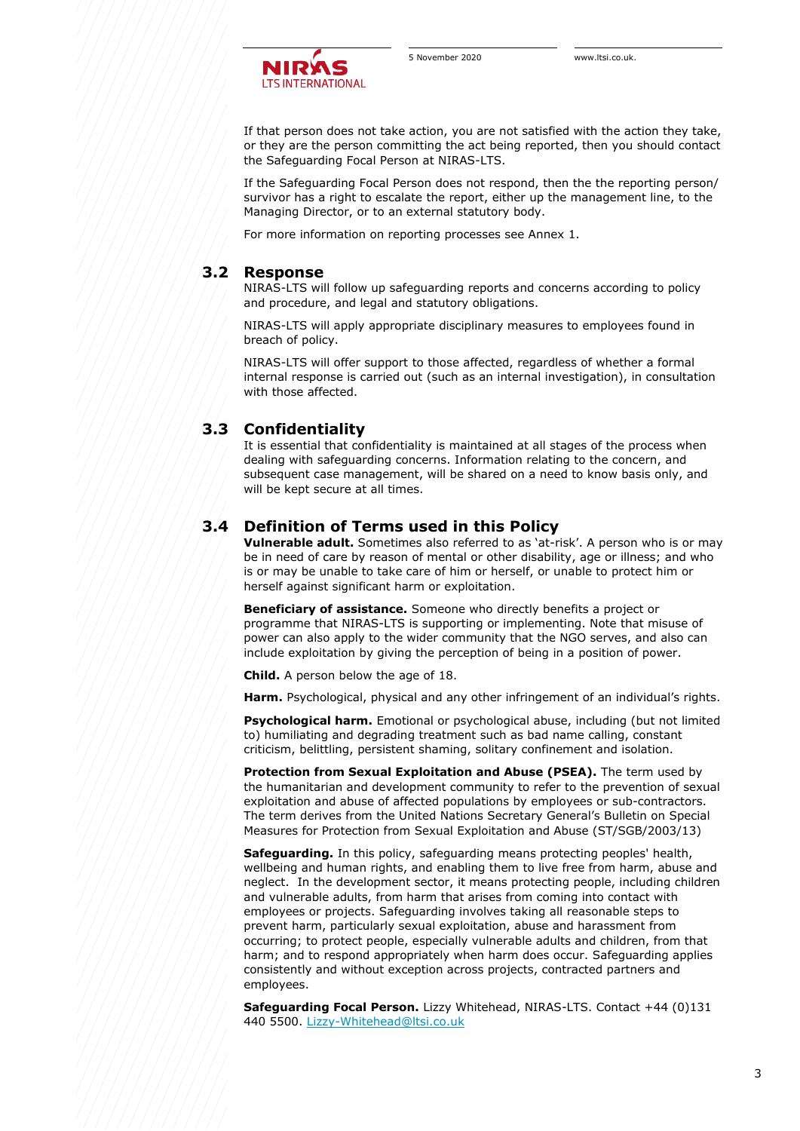

If that person does not take action, you are not satisfied with the action they take, or they are the person committing the act being reported, then you should contact the Safeguarding Focal Person at NIRAS-LTS.

If the Safeguarding Focal Person does not respond, then the the reporting person/ survivor has a right to escalate the report, either up the management line, to the Managing Director, or to an external statutory body.

For more information on reporting processes see Annex 1.

### **3.2 Response**

NIRAS-LTS will follow up safeguarding reports and concerns according to policy and procedure, and legal and statutory obligations.

NIRAS-LTS will apply appropriate disciplinary measures to employees found in breach of policy.

NIRAS-LTS will offer support to those affected, regardless of whether a formal internal response is carried out (such as an internal investigation), in consultation with those affected.

# **3.3 Confidentiality**

It is essential that confidentiality is maintained at all stages of the process when dealing with safeguarding concerns. Information relating to the concern, and subsequent case management, will be shared on a need to know basis only, and will be kept secure at all times.

# **3.4 Definition of Terms used in this Policy**

**Vulnerable adult.** Sometimes also referred to as 'at-risk'. A person who is or may be in need of care by reason of mental or other disability, age or illness; and who is or may be unable to take care of him or herself, or unable to protect him or herself against significant harm or exploitation.

**Beneficiary of assistance.** Someone who directly benefits a project or programme that NIRAS-LTS is supporting or implementing. Note that misuse of power can also apply to the wider community that the NGO serves, and also can include exploitation by giving the perception of being in a position of power.

**Child.** A person below the age of 18.

**Harm.** Psychological, physical and any other infringement of an individual's rights.

**Psychological harm.** Emotional or psychological abuse, including (but not limited to) humiliating and degrading treatment such as bad name calling, constant criticism, belittling, persistent shaming, solitary confinement and isolation.

**Protection from Sexual Exploitation and Abuse (PSEA).** The term used by the humanitarian and development community to refer to the prevention of sexual exploitation and abuse of affected populations by employees or sub-contractors. The term derives from the United Nations Secretary General's Bulletin on Special Measures for Protection from Sexual Exploitation and Abuse (ST/SGB/2003/13)

**Safeguarding.** In this policy, safeguarding means protecting peoples' health, wellbeing and human rights, and enabling them to live free from harm, abuse and neglect. In the development sector, it means protecting people, including children and vulnerable adults, from harm that arises from coming into contact with employees or projects. Safeguarding involves taking all reasonable steps to prevent harm, particularly sexual exploitation, abuse and harassment from occurring; to protect people, especially vulnerable adults and children, from that harm; and to respond appropriately when harm does occur. Safeguarding applies consistently and without exception across projects, contracted partners and employees.

**Safeguarding Focal Person.** Lizzy Whitehead, NIRAS-LTS. Contact +44 (0)131 440 5500. [Lizzy-Whitehead@ltsi.co.uk](mailto:Lizzy-Whitehead@ltsi.co.uk)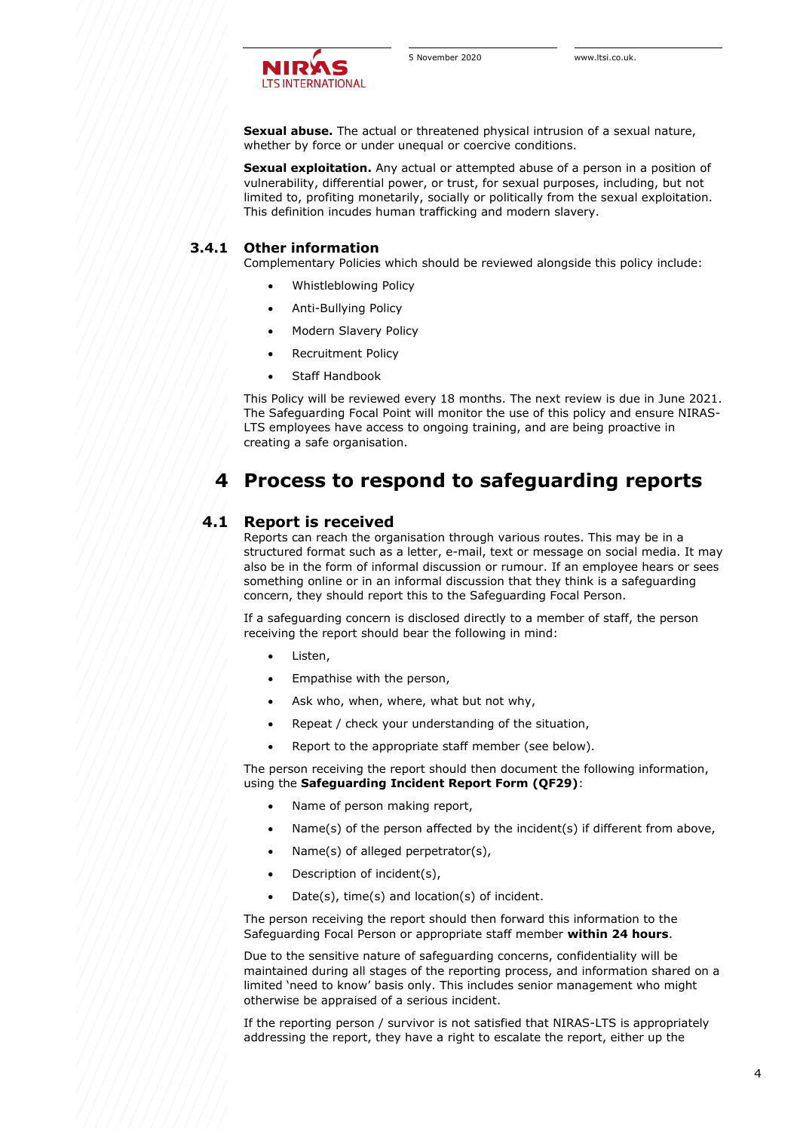

**Sexual abuse.** The actual or threatened physical intrusion of a sexual nature, whether by force or under unequal or coercive conditions.

**Sexual exploitation.** Any actual or attempted abuse of a person in a position of vulnerability, differential power, or trust, for sexual purposes, including, but not limited to, profiting monetarily, socially or politically from the sexual exploitation. This definition incudes human trafficking and modern slavery.

#### **3.4.1 Other information**

Complementary Policies which should be reviewed alongside this policy include:

- Whistleblowing Policy
- Anti-Bullying Policy
- Modern Slavery Policy
- Recruitment Policy
- Staff Handbook

This Policy will be reviewed every 18 months. The next review is due in June 2021. The Safeguarding Focal Point will monitor the use of this policy and ensure NIRAS-LTS employees have access to ongoing training, and are being proactive in creating a safe organisation.

# **4 Process to respond to safeguarding reports**

## **4.1 Report is received**

Reports can reach the organisation through various routes. This may be in a structured format such as a letter, e-mail, text or message on social media. It may also be in the form of informal discussion or rumour. If an employee hears or sees something online or in an informal discussion that they think is a safeguarding concern, they should report this to the Safeguarding Focal Person.

If a safeguarding concern is disclosed directly to a member of staff, the person receiving the report should bear the following in mind:

- Listen,
- Empathise with the person,
- Ask who, when, where, what but not why,
- Repeat / check your understanding of the situation,
- Report to the appropriate staff member (see below).

The person receiving the report should then document the following information, using the **Safeguarding Incident Report Form (QF29)**:

- Name of person making report,
- Name(s) of the person affected by the incident(s) if different from above,
- Name(s) of alleged perpetrator(s),
- Description of incident(s),
- Date(s), time(s) and location(s) of incident.

The person receiving the report should then forward this information to the Safeguarding Focal Person or appropriate staff member **within 24 hours**.

Due to the sensitive nature of safeguarding concerns, confidentiality will be maintained during all stages of the reporting process, and information shared on a limited 'need to know' basis only. This includes senior management who might otherwise be appraised of a serious incident.

If the reporting person / survivor is not satisfied that NIRAS-LTS is appropriately addressing the report, they have a right to escalate the report, either up the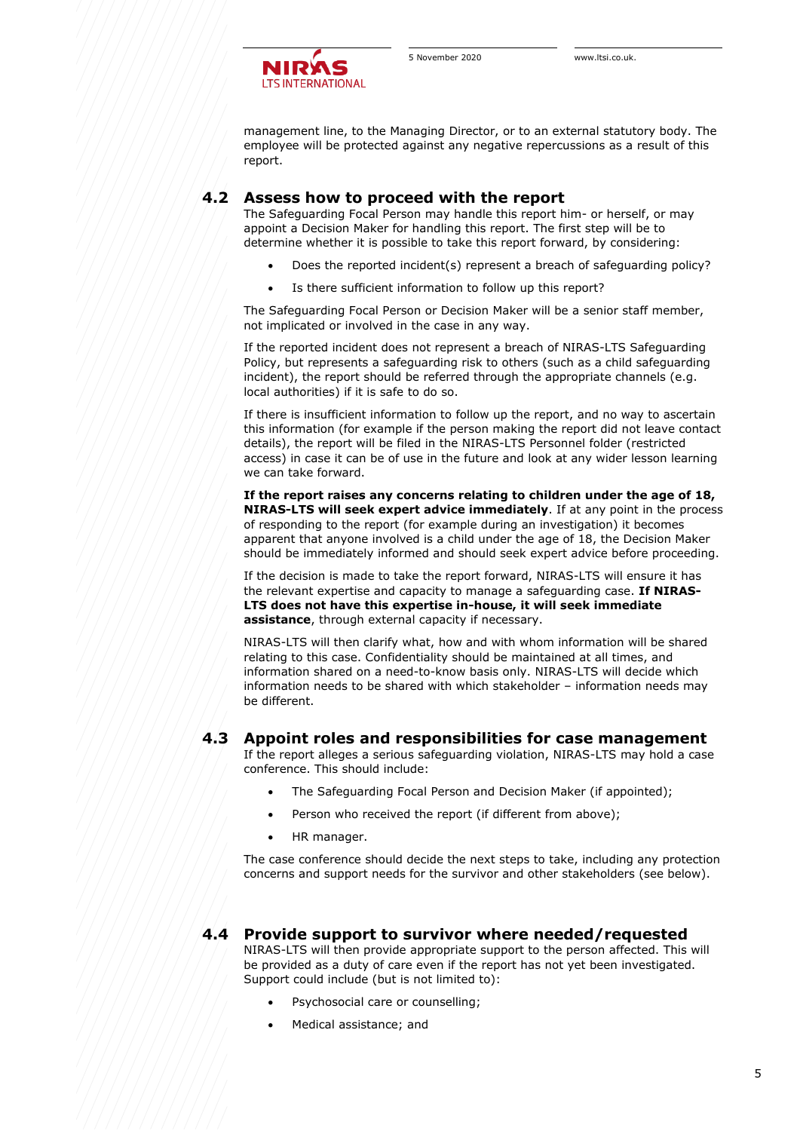

management line, to the Managing Director, or to an external statutory body. The employee will be protected against any negative repercussions as a result of this report.

# **4.2 Assess how to proceed with the report**

The Safeguarding Focal Person may handle this report him- or herself, or may appoint a Decision Maker for handling this report. The first step will be to determine whether it is possible to take this report forward, by considering:

- Does the reported incident(s) represent a breach of safeguarding policy?
- Is there sufficient information to follow up this report?

The Safeguarding Focal Person or Decision Maker will be a senior staff member, not implicated or involved in the case in any way.

If the reported incident does not represent a breach of NIRAS-LTS Safeguarding Policy, but represents a safeguarding risk to others (such as a child safeguarding incident), the report should be referred through the appropriate channels (e.g. local authorities) if it is safe to do so.

If there is insufficient information to follow up the report, and no way to ascertain this information (for example if the person making the report did not leave contact details), the report will be filed in the NIRAS-LTS Personnel folder (restricted access) in case it can be of use in the future and look at any wider lesson learning we can take forward.

**If the report raises any concerns relating to children under the age of 18, NIRAS-LTS will seek expert advice immediately**. If at any point in the process of responding to the report (for example during an investigation) it becomes apparent that anyone involved is a child under the age of 18, the Decision Maker should be immediately informed and should seek expert advice before proceeding.

If the decision is made to take the report forward, NIRAS-LTS will ensure it has the relevant expertise and capacity to manage a safeguarding case. **If NIRAS-LTS does not have this expertise in-house, it will seek immediate assistance**, through external capacity if necessary.

NIRAS-LTS will then clarify what, how and with whom information will be shared relating to this case. Confidentiality should be maintained at all times, and information shared on a need-to-know basis only. NIRAS-LTS will decide which information needs to be shared with which stakeholder – information needs may be different.

### **4.3 Appoint roles and responsibilities for case management**

If the report alleges a serious safeguarding violation, NIRAS-LTS may hold a case conference. This should include:

- The Safeguarding Focal Person and Decision Maker (if appointed);
- Person who received the report (if different from above);
- HR manager.

The case conference should decide the next steps to take, including any protection concerns and support needs for the survivor and other stakeholders (see below).

# **4.4 Provide support to survivor where needed/requested**

NIRAS-LTS will then provide appropriate support to the person affected. This will be provided as a duty of care even if the report has not yet been investigated. Support could include (but is not limited to):

- Psychosocial care or counselling;
- Medical assistance; and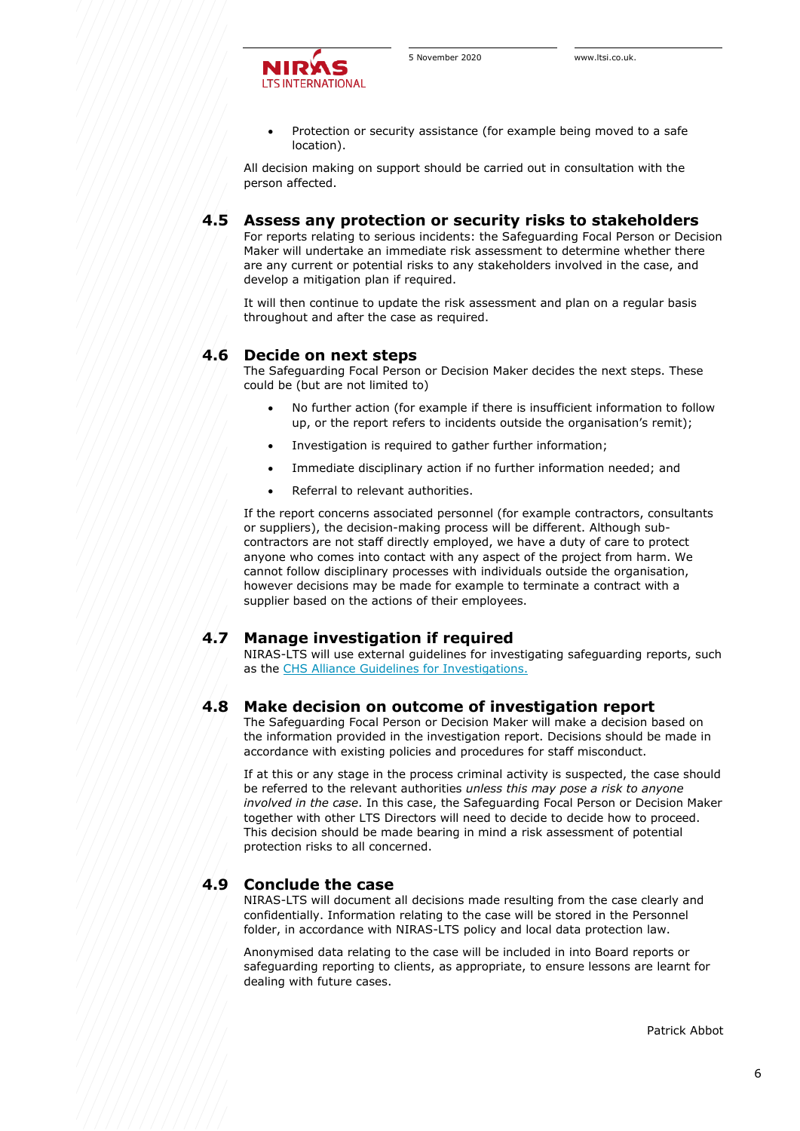

• Protection or security assistance (for example being moved to a safe location).

All decision making on support should be carried out in consultation with the person affected.

# **4.5 Assess any protection or security risks to stakeholders**

For reports relating to serious incidents: the Safeguarding Focal Person or Decision Maker will undertake an immediate risk assessment to determine whether there are any current or potential risks to any stakeholders involved in the case, and develop a mitigation plan if required.

It will then continue to update the risk assessment and plan on a regular basis throughout and after the case as required.

#### **4.6 Decide on next steps**

The Safeguarding Focal Person or Decision Maker decides the next steps. These could be (but are not limited to)

- No further action (for example if there is insufficient information to follow up, or the report refers to incidents outside the organisation's remit);
- Investigation is required to gather further information;
- Immediate disciplinary action if no further information needed; and
- Referral to relevant authorities.

If the report concerns associated personnel (for example contractors, consultants or suppliers), the decision-making process will be different. Although subcontractors are not staff directly employed, we have a duty of care to protect anyone who comes into contact with any aspect of the project from harm. We cannot follow disciplinary processes with individuals outside the organisation, however decisions may be made for example to terminate a contract with a supplier based on the actions of their employees.

### **4.7 Manage investigation if required**

NIRAS-LTS will use external guidelines for investigating safeguarding reports, such as the [CHS Alliance Guidelines for Investigations.](https://www.chsalliance.org/files/files/Investigation-Guidelines-2015_English.pdf)

### **4.8 Make decision on outcome of investigation report**

The Safeguarding Focal Person or Decision Maker will make a decision based on the information provided in the investigation report. Decisions should be made in accordance with existing policies and procedures for staff misconduct.

If at this or any stage in the process criminal activity is suspected, the case should be referred to the relevant authorities *unless this may pose a risk to anyone involved in the case*. In this case, the Safeguarding Focal Person or Decision Maker together with other LTS Directors will need to decide to decide how to proceed. This decision should be made bearing in mind a risk assessment of potential protection risks to all concerned.

# **4.9 Conclude the case**

NIRAS-LTS will document all decisions made resulting from the case clearly and confidentially. Information relating to the case will be stored in the Personnel folder, in accordance with NIRAS-LTS policy and local data protection law.

Anonymised data relating to the case will be included in into Board reports or safeguarding reporting to clients, as appropriate, to ensure lessons are learnt for dealing with future cases.